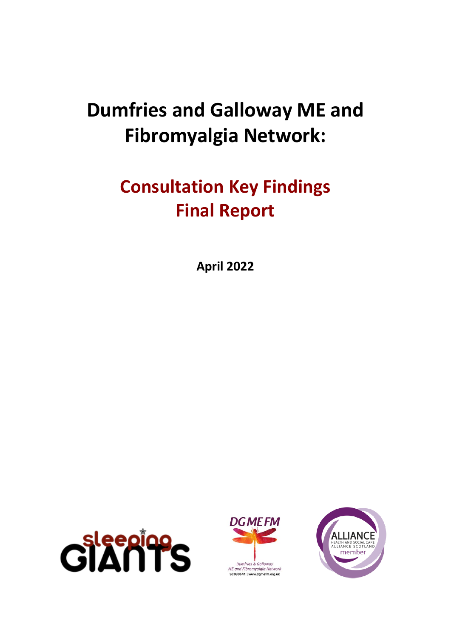# **Dumfries and Galloway ME and Fibromyalgia Network:**

# **Consultation Key Findings Final Report**

**April 2022**





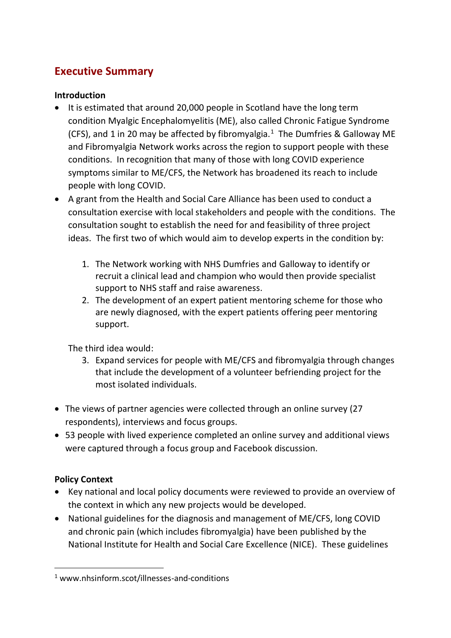# <span id="page-1-0"></span>**Executive Summary**

#### **Introduction**

- It is estimated that around 20,000 people in Scotland have the long term condition Myalgic Encephalomyelitis (ME), also called Chronic Fatigue Syndrome (CFS), and 1 in 20 may be affected by fibromyalgia. $1$  The Dumfries & Galloway ME and Fibromyalgia Network works across the region to support people with these conditions. In recognition that many of those with long COVID experience symptoms similar to ME/CFS, the Network has broadened its reach to include people with long COVID.
- A grant from the Health and Social Care Alliance has been used to conduct a consultation exercise with local stakeholders and people with the conditions. The consultation sought to establish the need for and feasibility of three project ideas. The first two of which would aim to develop experts in the condition by:
	- 1. The Network working with NHS Dumfries and Galloway to identify or recruit a clinical lead and champion who would then provide specialist support to NHS staff and raise awareness.
	- 2. The development of an expert patient mentoring scheme for those who are newly diagnosed, with the expert patients offering peer mentoring support.

The third idea would:

- 3. Expand services for people with ME/CFS and fibromyalgia through changes that include the development of a volunteer befriending project for the most isolated individuals.
- The views of partner agencies were collected through an online survey (27 respondents), interviews and focus groups.
- 53 people with lived experience completed an online survey and additional views were captured through a focus group and Facebook discussion.

#### **Policy Context**

- Key national and local policy documents were reviewed to provide an overview of the context in which any new projects would be developed.
- National guidelines for the diagnosis and management of ME/CFS, long COVID and chronic pain (which includes fibromyalgia) have been published by the National Institute for Health and Social Care Excellence (NICE). These guidelines

<sup>1</sup> www.nhsinform.scot/illnesses-and-conditions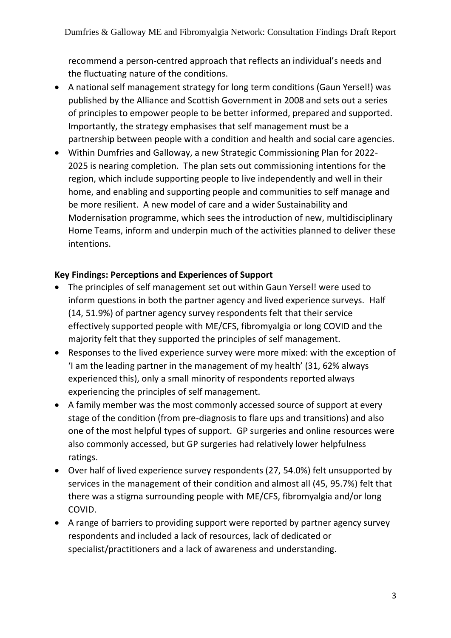recommend a person-centred approach that reflects an individual's needs and the fluctuating nature of the conditions.

- A national self management strategy for long term conditions (Gaun Yersel!) was published by the Alliance and Scottish Government in 2008 and sets out a series of principles to empower people to be better informed, prepared and supported. Importantly, the strategy emphasises that self management must be a partnership between people with a condition and health and social care agencies.
- Within Dumfries and Galloway, a new Strategic Commissioning Plan for 2022- 2025 is nearing completion. The plan sets out commissioning intentions for the region, which include supporting people to live independently and well in their home, and enabling and supporting people and communities to self manage and be more resilient. A new model of care and a wider Sustainability and Modernisation programme, which sees the introduction of new, multidisciplinary Home Teams, inform and underpin much of the activities planned to deliver these intentions.

#### **Key Findings: Perceptions and Experiences of Support**

- The principles of self management set out within Gaun Yersel! were used to inform questions in both the partner agency and lived experience surveys. Half (14, 51.9%) of partner agency survey respondents felt that their service effectively supported people with ME/CFS, fibromyalgia or long COVID and the majority felt that they supported the principles of self management.
- Responses to the lived experience survey were more mixed: with the exception of 'I am the leading partner in the management of my health' (31, 62% always experienced this), only a small minority of respondents reported always experiencing the principles of self management.
- A family member was the most commonly accessed source of support at every stage of the condition (from pre-diagnosis to flare ups and transitions) and also one of the most helpful types of support. GP surgeries and online resources were also commonly accessed, but GP surgeries had relatively lower helpfulness ratings.
- Over half of lived experience survey respondents (27, 54.0%) felt unsupported by services in the management of their condition and almost all (45, 95.7%) felt that there was a stigma surrounding people with ME/CFS, fibromyalgia and/or long COVID.
- A range of barriers to providing support were reported by partner agency survey respondents and included a lack of resources, lack of dedicated or specialist/practitioners and a lack of awareness and understanding.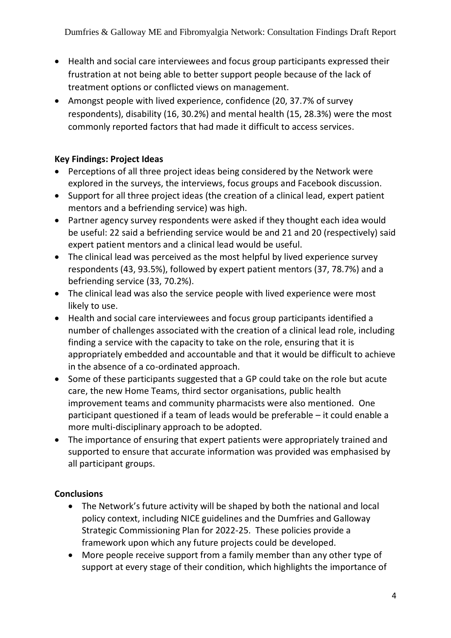- Health and social care interviewees and focus group participants expressed their frustration at not being able to better support people because of the lack of treatment options or conflicted views on management.
- Amongst people with lived experience, confidence (20, 37.7% of survey respondents), disability (16, 30.2%) and mental health (15, 28.3%) were the most commonly reported factors that had made it difficult to access services.

#### **Key Findings: Project Ideas**

- Perceptions of all three project ideas being considered by the Network were explored in the surveys, the interviews, focus groups and Facebook discussion.
- Support for all three project ideas (the creation of a clinical lead, expert patient mentors and a befriending service) was high.
- Partner agency survey respondents were asked if they thought each idea would be useful: 22 said a befriending service would be and 21 and 20 (respectively) said expert patient mentors and a clinical lead would be useful.
- The clinical lead was perceived as the most helpful by lived experience survey respondents (43, 93.5%), followed by expert patient mentors (37, 78.7%) and a befriending service (33, 70.2%).
- The clinical lead was also the service people with lived experience were most likely to use.
- Health and social care interviewees and focus group participants identified a number of challenges associated with the creation of a clinical lead role, including finding a service with the capacity to take on the role, ensuring that it is appropriately embedded and accountable and that it would be difficult to achieve in the absence of a co-ordinated approach.
- Some of these participants suggested that a GP could take on the role but acute care, the new Home Teams, third sector organisations, public health improvement teams and community pharmacists were also mentioned. One participant questioned if a team of leads would be preferable – it could enable a more multi-disciplinary approach to be adopted.
- The importance of ensuring that expert patients were appropriately trained and supported to ensure that accurate information was provided was emphasised by all participant groups.

#### **Conclusions**

- The Network's future activity will be shaped by both the national and local policy context, including NICE guidelines and the Dumfries and Galloway Strategic Commissioning Plan for 2022-25. These policies provide a framework upon which any future projects could be developed.
- More people receive support from a family member than any other type of support at every stage of their condition, which highlights the importance of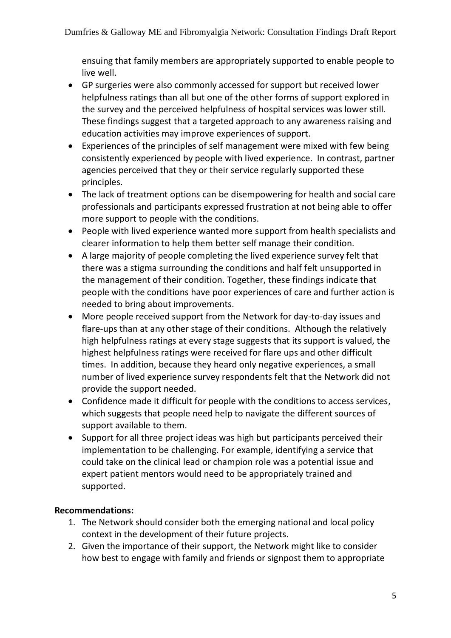ensuing that family members are appropriately supported to enable people to live well.

- GP surgeries were also commonly accessed for support but received lower helpfulness ratings than all but one of the other forms of support explored in the survey and the perceived helpfulness of hospital services was lower still. These findings suggest that a targeted approach to any awareness raising and education activities may improve experiences of support.
- Experiences of the principles of self management were mixed with few being consistently experienced by people with lived experience. In contrast, partner agencies perceived that they or their service regularly supported these principles.
- The lack of treatment options can be disempowering for health and social care professionals and participants expressed frustration at not being able to offer more support to people with the conditions.
- People with lived experience wanted more support from health specialists and clearer information to help them better self manage their condition.
- A large majority of people completing the lived experience survey felt that there was a stigma surrounding the conditions and half felt unsupported in the management of their condition. Together, these findings indicate that people with the conditions have poor experiences of care and further action is needed to bring about improvements.
- More people received support from the Network for day-to-day issues and flare-ups than at any other stage of their conditions. Although the relatively high helpfulness ratings at every stage suggests that its support is valued, the highest helpfulness ratings were received for flare ups and other difficult times. In addition, because they heard only negative experiences, a small number of lived experience survey respondents felt that the Network did not provide the support needed.
- Confidence made it difficult for people with the conditions to access services, which suggests that people need help to navigate the different sources of support available to them.
- Support for all three project ideas was high but participants perceived their implementation to be challenging. For example, identifying a service that could take on the clinical lead or champion role was a potential issue and expert patient mentors would need to be appropriately trained and supported.

#### **Recommendations:**

- 1. The Network should consider both the emerging national and local policy context in the development of their future projects.
- 2. Given the importance of their support, the Network might like to consider how best to engage with family and friends or signpost them to appropriate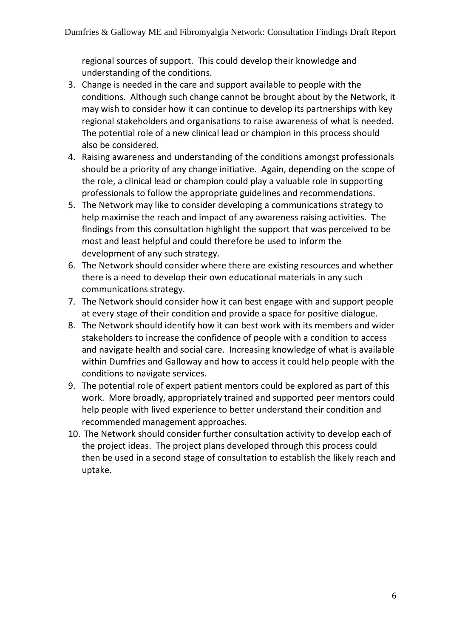regional sources of support. This could develop their knowledge and understanding of the conditions.

- 3. Change is needed in the care and support available to people with the conditions. Although such change cannot be brought about by the Network, it may wish to consider how it can continue to develop its partnerships with key regional stakeholders and organisations to raise awareness of what is needed. The potential role of a new clinical lead or champion in this process should also be considered.
- 4. Raising awareness and understanding of the conditions amongst professionals should be a priority of any change initiative. Again, depending on the scope of the role, a clinical lead or champion could play a valuable role in supporting professionals to follow the appropriate guidelines and recommendations.
- 5. The Network may like to consider developing a communications strategy to help maximise the reach and impact of any awareness raising activities. The findings from this consultation highlight the support that was perceived to be most and least helpful and could therefore be used to inform the development of any such strategy.
- 6. The Network should consider where there are existing resources and whether there is a need to develop their own educational materials in any such communications strategy.
- 7. The Network should consider how it can best engage with and support people at every stage of their condition and provide a space for positive dialogue.
- 8. The Network should identify how it can best work with its members and wider stakeholders to increase the confidence of people with a condition to access and navigate health and social care. Increasing knowledge of what is available within Dumfries and Galloway and how to access it could help people with the conditions to navigate services.
- 9. The potential role of expert patient mentors could be explored as part of this work. More broadly, appropriately trained and supported peer mentors could help people with lived experience to better understand their condition and recommended management approaches.
- 10. The Network should consider further consultation activity to develop each of the project ideas. The project plans developed through this process could then be used in a second stage of consultation to establish the likely reach and uptake.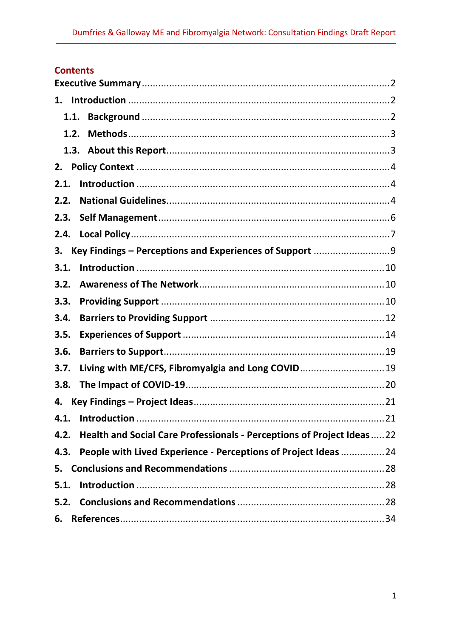# **Contents**

| 1.   |                                                                       |  |
|------|-----------------------------------------------------------------------|--|
| 1.1. |                                                                       |  |
| 1.2. |                                                                       |  |
|      |                                                                       |  |
| 2.   |                                                                       |  |
| 2.1. |                                                                       |  |
| 2.2. |                                                                       |  |
| 2.3. |                                                                       |  |
| 2.4. |                                                                       |  |
| 3.   | Key Findings - Perceptions and Experiences of Support 9               |  |
| 3.1. |                                                                       |  |
| 3.2. |                                                                       |  |
| 3.3. |                                                                       |  |
| 3.4. |                                                                       |  |
| 3.5. |                                                                       |  |
| 3.6. |                                                                       |  |
| 3.7. | Living with ME/CFS, Fibromyalgia and Long COVID 19                    |  |
| 3.8. |                                                                       |  |
| 4.   |                                                                       |  |
|      |                                                                       |  |
| 4.2. | Health and Social Care Professionals - Perceptions of Project Ideas22 |  |
| 4.3. | People with Lived Experience - Perceptions of Project Ideas  24       |  |
| 5.   |                                                                       |  |
| 5.1. |                                                                       |  |
|      |                                                                       |  |
| 6.   |                                                                       |  |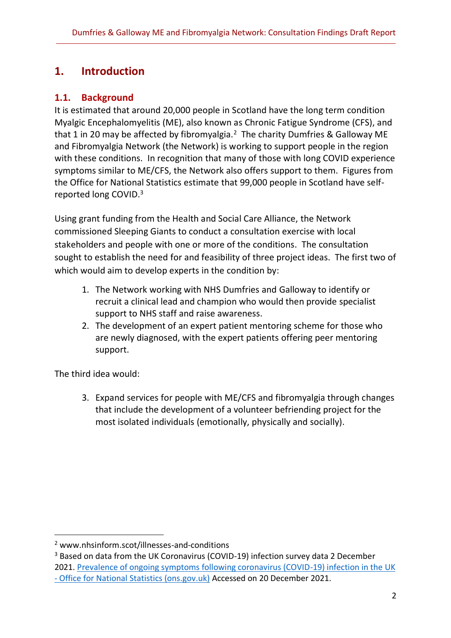# <span id="page-7-0"></span>**1. Introduction**

# <span id="page-7-1"></span>**1.1. Background**

It is estimated that around 20,000 people in Scotland have the long term condition Myalgic Encephalomyelitis (ME), also known as Chronic Fatigue Syndrome (CFS), and that 1 in 20 may be affected by fibromyalgia.<sup>2</sup> The charity Dumfries & Galloway ME and Fibromyalgia Network (the Network) is working to support people in the region with these conditions. In recognition that many of those with long COVID experience symptoms similar to ME/CFS, the Network also offers support to them. Figures from the Office for National Statistics estimate that 99,000 people in Scotland have selfreported long COVID. 3

Using grant funding from the Health and Social Care Alliance, the Network commissioned Sleeping Giants to conduct a consultation exercise with local stakeholders and people with one or more of the conditions. The consultation sought to establish the need for and feasibility of three project ideas. The first two of which would aim to develop experts in the condition by:

- 1. The Network working with NHS Dumfries and Galloway to identify or recruit a clinical lead and champion who would then provide specialist support to NHS staff and raise awareness.
- 2. The development of an expert patient mentoring scheme for those who are newly diagnosed, with the expert patients offering peer mentoring support.

The third idea would:

3. Expand services for people with ME/CFS and fibromyalgia through changes that include the development of a volunteer befriending project for the most isolated individuals (emotionally, physically and socially).

<sup>2</sup> www.nhsinform.scot/illnesses-and-conditions

<sup>&</sup>lt;sup>3</sup> Based on data from the UK Coronavirus (COVID-19) infection survey data 2 December 2021. [Prevalence of ongoing symptoms following coronavirus \(COVID-19\) infection in the UK](https://www.ons.gov.uk/peoplepopulationandcommunity/healthandsocialcare/conditionsanddiseases/bulletins/prevalenceofongoingsymptomsfollowingcoronaviruscovid19infectionintheuk/7october2021)  - [Office for National Statistics \(ons.gov.uk\)](https://www.ons.gov.uk/peoplepopulationandcommunity/healthandsocialcare/conditionsanddiseases/bulletins/prevalenceofongoingsymptomsfollowingcoronaviruscovid19infectionintheuk/7october2021) Accessed on 20 December 2021.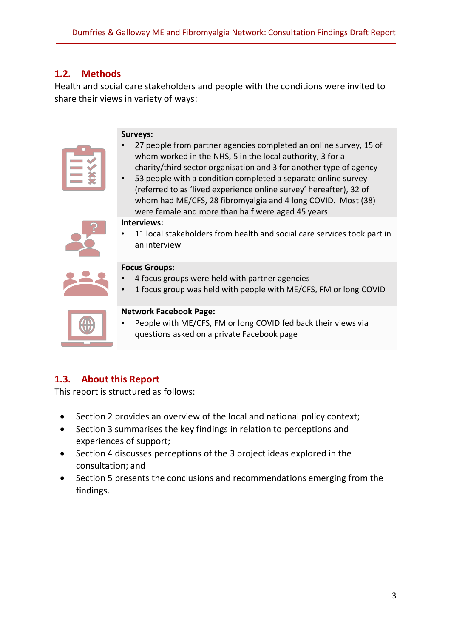#### <span id="page-8-0"></span>**1.2. Methods**

Health and social care stakeholders and people with the conditions were invited to share their views in variety of ways:

#### **Surveys:**

| • 27 people from partner agencies completed an online survey, 15 of |
|---------------------------------------------------------------------|
| whom worked in the NHS, 5 in the local authority, 3 for a           |
| charity/third sector organisation and 3 for another type of agency  |

• 53 people with a condition completed a separate online survey (referred to as 'lived experience online survey' hereafter), 32 of whom had ME/CFS, 28 fibromyalgia and 4 long COVID. Most (38) were female and more than half were aged 45 years

#### **Interviews:**



11 local stakeholders from health and social care services took part in an interview

#### **Focus Groups:**

- 4 focus groups were held with partner agencies
- 1 focus group was held with people with ME/CFS, FM or long COVID



#### **Network Facebook Page:**

People with ME/CFS, FM or long COVID fed back their views via questions asked on a private Facebook page

#### <span id="page-8-1"></span>**1.3. About this Report**

This report is structured as follows:

- Section 2 provides an overview of the local and national policy context;
- Section 3 summarises the key findings in relation to perceptions and experiences of support;
- Section 4 discusses perceptions of the 3 project ideas explored in the consultation; and
- Section 5 presents the conclusions and recommendations emerging from the findings.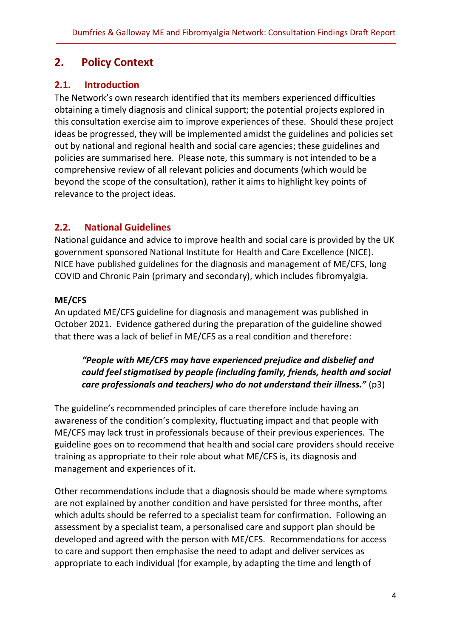# <span id="page-9-0"></span>**2. Policy Context**

# <span id="page-9-1"></span>**2.1. Introduction**

The Network's own research identified that its members experienced difficulties obtaining a timely diagnosis and clinical support; the potential projects explored in this consultation exercise aim to improve experiences of these. Should these project ideas be progressed, they will be implemented amidst the guidelines and policies set out by national and regional health and social care agencies; these guidelines and policies are summarised here. Please note, this summary is not intended to be a comprehensive review of all relevant policies and documents (which would be beyond the scope of the consultation), rather it aims to highlight key points of relevance to the project ideas.

# <span id="page-9-2"></span>**2.2. National Guidelines**

National guidance and advice to improve health and social care is provided by the UK government sponsored National Institute for Health and Care Excellence (NICE). NICE have published guidelines for the diagnosis and management of ME/CFS, long COVID and Chronic Pain (primary and secondary), which includes fibromyalgia.

#### **ME/CFS**

An updated ME/CFS guideline for diagnosis and management was published in October 2021. Evidence gathered during the preparation of the guideline showed that there was a lack of belief in ME/CFS as a real condition and therefore:

# *"People with ME/CFS may have experienced prejudice and disbelief and could feel stigmatised by people (including family, friends, health and social care professionals and teachers) who do not understand their illness."* (p3)

The guideline's recommended principles of care therefore include having an awareness of the condition's complexity, fluctuating impact and that people with ME/CFS may lack trust in professionals because of their previous experiences. The guideline goes on to recommend that health and social care providers should receive training as appropriate to their role about what ME/CFS is, its diagnosis and management and experiences of it.

Other recommendations include that a diagnosis should be made where symptoms are not explained by another condition and have persisted for three months, after which adults should be referred to a specialist team for confirmation. Following an assessment by a specialist team, a personalised care and support plan should be developed and agreed with the person with ME/CFS. Recommendations for access to care and support then emphasise the need to adapt and deliver services as appropriate to each individual (for example, by adapting the time and length of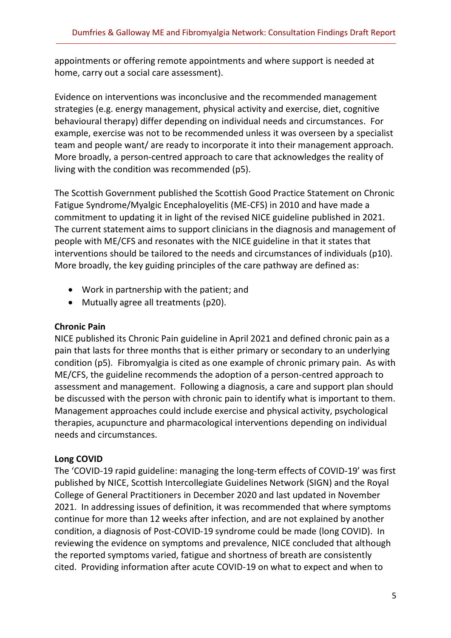appointments or offering remote appointments and where support is needed at home, carry out a social care assessment).

Evidence on interventions was inconclusive and the recommended management strategies (e.g. energy management, physical activity and exercise, diet, cognitive behavioural therapy) differ depending on individual needs and circumstances. For example, exercise was not to be recommended unless it was overseen by a specialist team and people want/ are ready to incorporate it into their management approach. More broadly, a person-centred approach to care that acknowledges the reality of living with the condition was recommended (p5).

The Scottish Government published the Scottish Good Practice Statement on Chronic Fatigue Syndrome/Myalgic Encephaloyelitis (ME-CFS) in 2010 and have made a commitment to updating it in light of the revised NICE guideline published in 2021. The current statement aims to support clinicians in the diagnosis and management of people with ME/CFS and resonates with the NICE guideline in that it states that interventions should be tailored to the needs and circumstances of individuals (p10). More broadly, the key guiding principles of the care pathway are defined as:

- Work in partnership with the patient; and
- Mutually agree all treatments (p20).

#### **Chronic Pain**

NICE published its Chronic Pain guideline in April 2021 and defined chronic pain as a pain that lasts for three months that is either primary or secondary to an underlying condition (p5). Fibromyalgia is cited as one example of chronic primary pain. As with ME/CFS, the guideline recommends the adoption of a person-centred approach to assessment and management. Following a diagnosis, a care and support plan should be discussed with the person with chronic pain to identify what is important to them. Management approaches could include exercise and physical activity, psychological therapies, acupuncture and pharmacological interventions depending on individual needs and circumstances.

#### **Long COVID**

The 'COVID-19 rapid guideline: managing the long-term effects of COVID-19' was first published by NICE, Scottish Intercollegiate Guidelines Network (SIGN) and the Royal College of General Practitioners in December 2020 and last updated in November 2021. In addressing issues of definition, it was recommended that where symptoms continue for more than 12 weeks after infection, and are not explained by another condition, a diagnosis of Post-COVID-19 syndrome could be made (long COVID). In reviewing the evidence on symptoms and prevalence, NICE concluded that although the reported symptoms varied, fatigue and shortness of breath are consistently cited. Providing information after acute COVID-19 on what to expect and when to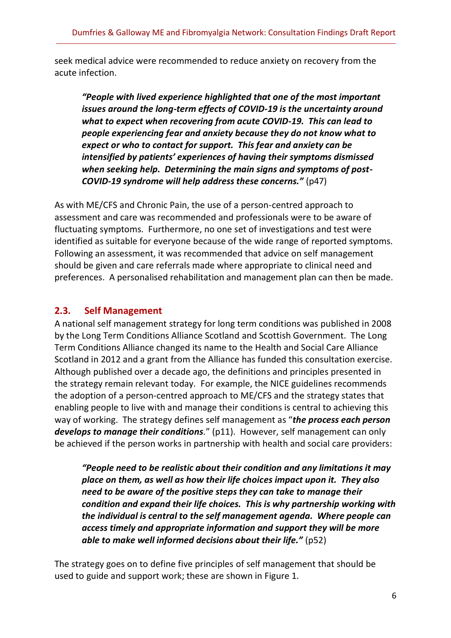seek medical advice were recommended to reduce anxiety on recovery from the acute infection.

*"People with lived experience highlighted that one of the most important issues around the long-term effects of COVID-19 is the uncertainty around what to expect when recovering from acute COVID-19. This can lead to people experiencing fear and anxiety because they do not know what to expect or who to contact for support. This fear and anxiety can be intensified by patients' experiences of having their symptoms dismissed when seeking help. Determining the main signs and symptoms of post-COVID-19 syndrome will help address these concerns."* (p47)

As with ME/CFS and Chronic Pain, the use of a person-centred approach to assessment and care was recommended and professionals were to be aware of fluctuating symptoms. Furthermore, no one set of investigations and test were identified as suitable for everyone because of the wide range of reported symptoms. Following an assessment, it was recommended that advice on self management should be given and care referrals made where appropriate to clinical need and preferences. A personalised rehabilitation and management plan can then be made.

# <span id="page-11-0"></span>**2.3. Self Management**

A national self management strategy for long term conditions was published in 2008 by the Long Term Conditions Alliance Scotland and Scottish Government. The Long Term Conditions Alliance changed its name to the Health and Social Care Alliance Scotland in 2012 and a grant from the Alliance has funded this consultation exercise. Although published over a decade ago, the definitions and principles presented in the strategy remain relevant today. For example, the NICE guidelines recommends the adoption of a person-centred approach to ME/CFS and the strategy states that enabling people to live with and manage their conditions is central to achieving this way of working. The strategy defines self management as "*the process each person develops to manage their conditions.*" (p11). However, self management can only be achieved if the person works in partnership with health and social care providers:

*"People need to be realistic about their condition and any limitations it may place on them, as well as how their life choices impact upon it. They also need to be aware of the positive steps they can take to manage their condition and expand their life choices. This is why partnership working with the individual is central to the self management agenda. Where people can access timely and appropriate information and support they will be more able to make well informed decisions about their life."* (p52)

The strategy goes on to define five principles of self management that should be used to guide and support work; these are shown in Figure 1.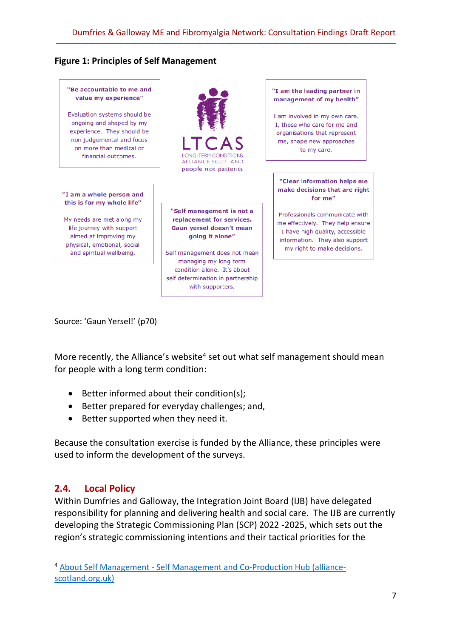#### **Figure 1: Principles of Self Management**



Evaluation systems should be ongoing and shaped by my experience. They should be non judgemental and focus on more than medical or financial outcomes

"I am a whole person and this is for my whole life"

My needs are met along my life journey with support aimed at improving my physical, emotional, social and spiritual wellbeing.

**LONG-TERM CONDITIONS** ALLIANCE SCOTLAND people not patients

"Self management is not a replacement for services. Gaun yersel doesn't mean going it alone"

Self management does not mean managing my long term condition alone. It's about self determination in partnership with supporters.

"I am the leading partner in management of my health"

I am involved in my own care. I, those who care for me and organisations that represent me, shape new approaches to my care.

#### "Clear information helps me make decisions that are right for me"

Professionals communicate with me effectively. They help ensure I have high quality, accessible information. They also support my right to make decisions.

Source: 'Gaun Yersel!' (p70)

More recently, the Alliance's website<sup>4</sup> set out what self management should mean for people with a long term condition:

- Better informed about their condition(s);
- Better prepared for everyday challenges; and,
- Better supported when they need it.

Because the consultation exercise is funded by the Alliance, these principles were used to inform the development of the surveys.

#### <span id="page-12-0"></span>**2.4. Local Policy**

Within Dumfries and Galloway, the Integration Joint Board (IJB) have delegated responsibility for planning and delivering health and social care. The IJB are currently developing the Strategic Commissioning Plan (SCP) 2022 -2025, which sets out the region's strategic commissioning intentions and their tactical priorities for the

<sup>4</sup> About Self Management - [Self Management and Co-Production Hub \(alliance](https://www.alliance-scotland.org.uk/self-management-and-co-production-hub/what-is-self-management/)[scotland.org.uk\)](https://www.alliance-scotland.org.uk/self-management-and-co-production-hub/what-is-self-management/)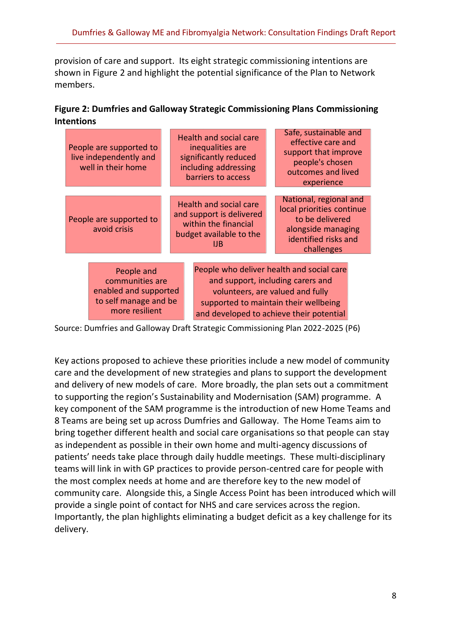provision of care and support. Its eight strategic commissioning intentions are shown in Figure 2 and highlight the potential significance of the Plan to Network members.

| Figure 2: Dumfries and Galloway Strategic Commissioning Plans Commissioning |
|-----------------------------------------------------------------------------|
| <b>Intentions</b>                                                           |

|                                                                                                   | People are supported to<br>live independently and<br>well in their home |                                                                                                                                                                                                         | Health and social care<br>inequalities are<br>significantly reduced<br>including addressing<br>barriers to access | Safe, sustainable and<br>effective care and<br>support that improve<br>people's chosen<br>outcomes and lived<br>experience         |
|---------------------------------------------------------------------------------------------------|-------------------------------------------------------------------------|---------------------------------------------------------------------------------------------------------------------------------------------------------------------------------------------------------|-------------------------------------------------------------------------------------------------------------------|------------------------------------------------------------------------------------------------------------------------------------|
|                                                                                                   | People are supported to<br>avoid crisis                                 |                                                                                                                                                                                                         | Health and social care<br>and support is delivered<br>within the financial<br>budget available to the<br>IJB      | National, regional and<br>local priorities continue<br>to be delivered<br>alongside managing<br>identified risks and<br>challenges |
| People and<br>communities are<br>enabled and supported<br>to self manage and be<br>more resilient |                                                                         | People who deliver health and social care<br>and support, including carers and<br>volunteers, are valued and fully<br>supported to maintain their wellbeing<br>and developed to achieve their potential |                                                                                                                   |                                                                                                                                    |

Source: Dumfries and Galloway Draft Strategic Commissioning Plan 2022-2025 (P6)

Key actions proposed to achieve these priorities include a new model of community care and the development of new strategies and plans to support the development and delivery of new models of care. More broadly, the plan sets out a commitment to supporting the region's Sustainability and Modernisation (SAM) programme. A key component of the SAM programme is the introduction of new Home Teams and 8 Teams are being set up across Dumfries and Galloway. The Home Teams aim to bring together different health and social care organisations so that people can stay as independent as possible in their own home and multi-agency discussions of patients' needs take place through daily huddle meetings. These multi-disciplinary teams will link in with GP practices to provide person-centred care for people with the most complex needs at home and are therefore key to the new model of community care. Alongside this, a Single Access Point has been introduced which will provide a single point of contact for NHS and care services across the region. Importantly, the plan highlights eliminating a budget deficit as a key challenge for its delivery.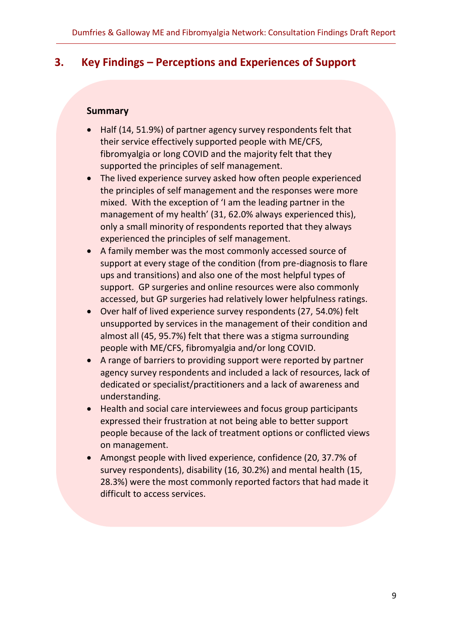# <span id="page-14-0"></span>**3. Key Findings – Perceptions and Experiences of Support**

#### **Summary**

- Half (14, 51.9%) of partner agency survey respondents felt that their service effectively supported people with ME/CFS, fibromyalgia or long COVID and the majority felt that they supported the principles of self management.
- The lived experience survey asked how often people experienced the principles of self management and the responses were more mixed. With the exception of 'I am the leading partner in the management of my health' (31, 62.0% always experienced this), only a small minority of respondents reported that they always experienced the principles of self management.
- A family member was the most commonly accessed source of support at every stage of the condition (from pre-diagnosis to flare ups and transitions) and also one of the most helpful types of support. GP surgeries and online resources were also commonly accessed, but GP surgeries had relatively lower helpfulness ratings.
- Over half of lived experience survey respondents (27, 54.0%) felt unsupported by services in the management of their condition and almost all (45, 95.7%) felt that there was a stigma surrounding people with ME/CFS, fibromyalgia and/or long COVID.
- A range of barriers to providing support were reported by partner agency survey respondents and included a lack of resources, lack of dedicated or specialist/practitioners and a lack of awareness and understanding.
- Health and social care interviewees and focus group participants expressed their frustration at not being able to better support people because of the lack of treatment options or conflicted views on management.
- Amongst people with lived experience, confidence (20, 37.7% of survey respondents), disability (16, 30.2%) and mental health (15, 28.3%) were the most commonly reported factors that had made it difficult to access services.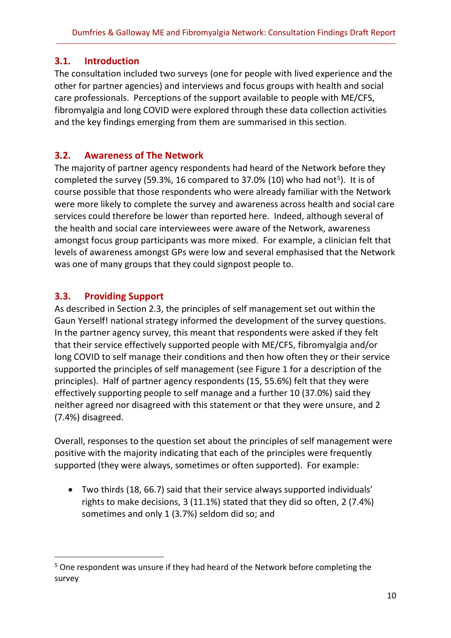### <span id="page-15-0"></span>**3.1. Introduction**

The consultation included two surveys (one for people with lived experience and the other for partner agencies) and interviews and focus groups with health and social care professionals. Perceptions of the support available to people with ME/CFS, fibromyalgia and long COVID were explored through these data collection activities and the key findings emerging from them are summarised in this section.

# <span id="page-15-1"></span>**3.2. Awareness of The Network**

The majority of partner agency respondents had heard of the Network before they completed the survey (59.3%, 16 compared to 37.0% (10) who had not<sup>5</sup>). It is of course possible that those respondents who were already familiar with the Network were more likely to complete the survey and awareness across health and social care services could therefore be lower than reported here. Indeed, although several of the health and social care interviewees were aware of the Network, awareness amongst focus group participants was more mixed. For example, a clinician felt that levels of awareness amongst GPs were low and several emphasised that the Network was one of many groups that they could signpost people to.

# <span id="page-15-2"></span>**3.3. Providing Support**

As described in Section 2.3, the principles of self management set out within the Gaun Yerself! national strategy informed the development of the survey questions. In the partner agency survey, this meant that respondents were asked if they felt that their service effectively supported people with ME/CFS, fibromyalgia and/or long COVID to self manage their conditions and then how often they or their service supported the principles of self management (see Figure 1 for a description of the principles). Half of partner agency respondents (15, 55.6%) felt that they were effectively supporting people to self manage and a further 10 (37.0%) said they neither agreed nor disagreed with this statement or that they were unsure, and 2 (7.4%) disagreed.

Overall, responses to the question set about the principles of self management were positive with the majority indicating that each of the principles were frequently supported (they were always, sometimes or often supported). For example:

• Two thirds (18, 66.7) said that their service always supported individuals' rights to make decisions, 3 (11.1%) stated that they did so often, 2 (7.4%) sometimes and only 1 (3.7%) seldom did so; and

<sup>5</sup> One respondent was unsure if they had heard of the Network before completing the survey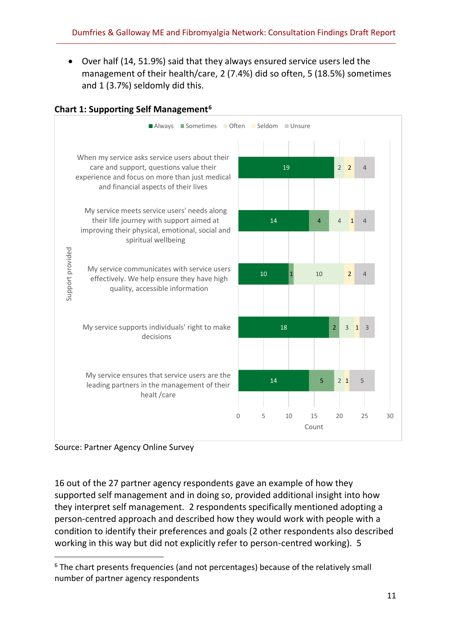• Over half (14, 51.9%) said that they always ensured service users led the management of their health/care, 2 (7.4%) did so often, 5 (18.5%) sometimes and 1 (3.7%) seldomly did this.



#### **Chart 1: Supporting Self Management<sup>6</sup>**

Source: Partner Agency Online Survey

16 out of the 27 partner agency respondents gave an example of how they supported self management and in doing so, provided additional insight into how they interpret self management. 2 respondents specifically mentioned adopting a person-centred approach and described how they would work with people with a condition to identify their preferences and goals (2 other respondents also described working in this way but did not explicitly refer to person-centred working). 5

<sup>&</sup>lt;sup>6</sup> The chart presents frequencies (and not percentages) because of the relatively small number of partner agency respondents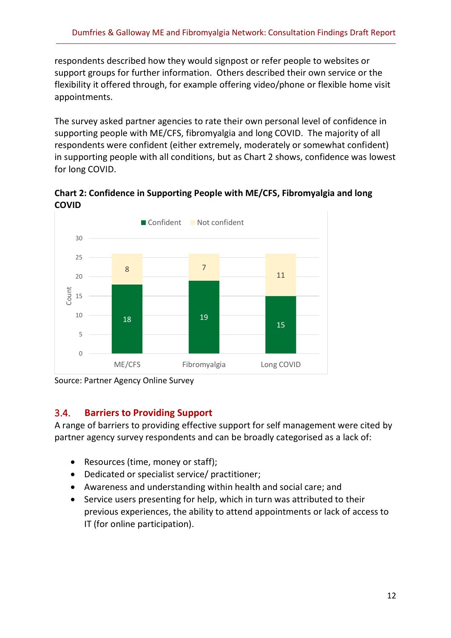respondents described how they would signpost or refer people to websites or support groups for further information. Others described their own service or the flexibility it offered through, for example offering video/phone or flexible home visit appointments.

The survey asked partner agencies to rate their own personal level of confidence in supporting people with ME/CFS, fibromyalgia and long COVID. The majority of all respondents were confident (either extremely, moderately or somewhat confident) in supporting people with all conditions, but as Chart 2 shows, confidence was lowest for long COVID.

**Chart 2: Confidence in Supporting People with ME/CFS, Fibromyalgia and long COVID**



Source: Partner Agency Online Survey

#### <span id="page-17-0"></span>3.4. **Barriers to Providing Support**

A range of barriers to providing effective support for self management were cited by partner agency survey respondents and can be broadly categorised as a lack of:

- Resources (time, money or staff);
- Dedicated or specialist service/ practitioner;
- Awareness and understanding within health and social care; and
- Service users presenting for help, which in turn was attributed to their previous experiences, the ability to attend appointments or lack of access to IT (for online participation).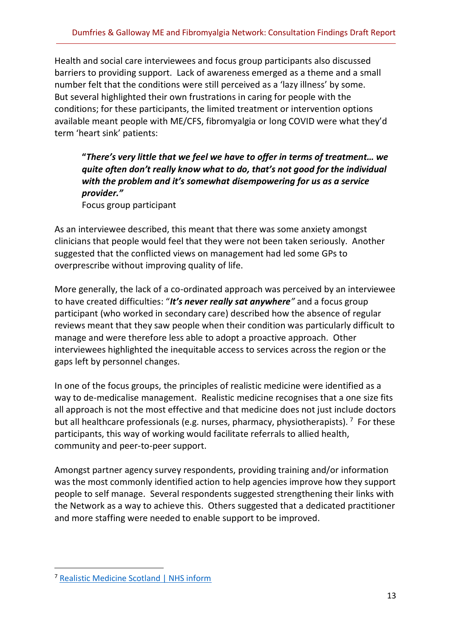Health and social care interviewees and focus group participants also discussed barriers to providing support. Lack of awareness emerged as a theme and a small number felt that the conditions were still perceived as a 'lazy illness' by some. But several highlighted their own frustrations in caring for people with the conditions; for these participants, the limited treatment or intervention options available meant people with ME/CFS, fibromyalgia or long COVID were what they'd term 'heart sink' patients:

**"***There's very little that we feel we have to offer in terms of treatment… we quite often don't really know what to do, that's not good for the individual with the problem and it's somewhat disempowering for us as a service provider."*

Focus group participant

As an interviewee described, this meant that there was some anxiety amongst clinicians that people would feel that they were not been taken seriously. Another suggested that the conflicted views on management had led some GPs to overprescribe without improving quality of life.

More generally, the lack of a co-ordinated approach was perceived by an interviewee to have created difficulties: "*It's never really sat anywhere"* and a focus group participant (who worked in secondary care) described how the absence of regular reviews meant that they saw people when their condition was particularly difficult to manage and were therefore less able to adopt a proactive approach. Other interviewees highlighted the inequitable access to services across the region or the gaps left by personnel changes.

In one of the focus groups, the principles of realistic medicine were identified as a way to de-medicalise management. Realistic medicine recognises that a one size fits all approach is not the most effective and that medicine does not just include doctors but all healthcare professionals (e.g. nurses, pharmacy, physiotherapists).<sup>7</sup> For these participants, this way of working would facilitate referrals to allied health, community and peer-to-peer support.

Amongst partner agency survey respondents, providing training and/or information was the most commonly identified action to help agencies improve how they support people to self manage. Several respondents suggested strengthening their links with the Network as a way to achieve this. Others suggested that a dedicated practitioner and more staffing were needed to enable support to be improved.

<sup>7</sup> [Realistic Medicine Scotland | NHS inform](https://www.nhsinform.scot/care-support-and-rights/nhs-services/using-the-nhs/realistic-medicine)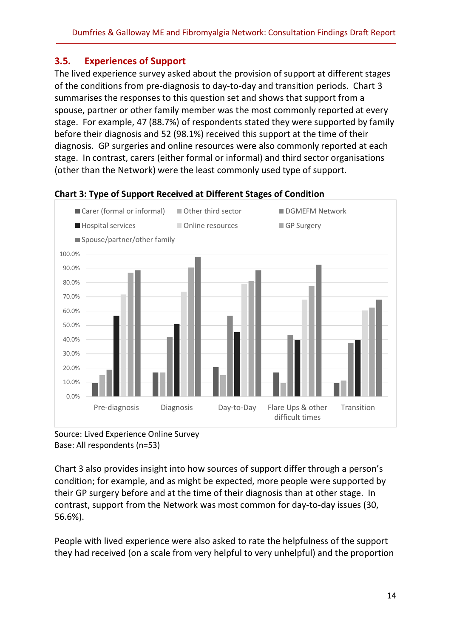### <span id="page-19-0"></span>**3.5. Experiences of Support**

The lived experience survey asked about the provision of support at different stages of the conditions from pre-diagnosis to day-to-day and transition periods. Chart 3 summarises the responses to this question set and shows that support from a spouse, partner or other family member was the most commonly reported at every stage. For example, 47 (88.7%) of respondents stated they were supported by family before their diagnosis and 52 (98.1%) received this support at the time of their diagnosis. GP surgeries and online resources were also commonly reported at each stage. In contrast, carers (either formal or informal) and third sector organisations (other than the Network) were the least commonly used type of support.



#### **Chart 3: Type of Support Received at Different Stages of Condition**

Chart 3 also provides insight into how sources of support differ through a person's condition; for example, and as might be expected, more people were supported by their GP surgery before and at the time of their diagnosis than at other stage. In contrast, support from the Network was most common for day-to-day issues (30, 56.6%).

People with lived experience were also asked to rate the helpfulness of the support they had received (on a scale from very helpful to very unhelpful) and the proportion

Source: Lived Experience Online Survey Base: All respondents (n=53)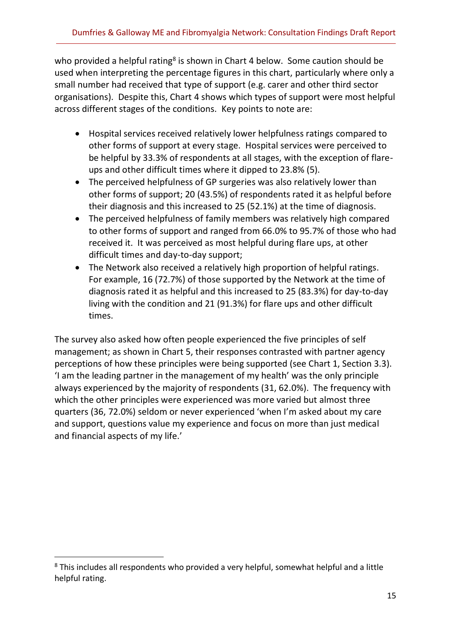who provided a helpful rating<sup>8</sup> is shown in Chart 4 below. Some caution should be used when interpreting the percentage figures in this chart, particularly where only a small number had received that type of support (e.g. carer and other third sector organisations). Despite this, Chart 4 shows which types of support were most helpful across different stages of the conditions. Key points to note are:

- Hospital services received relatively lower helpfulness ratings compared to other forms of support at every stage. Hospital services were perceived to be helpful by 33.3% of respondents at all stages, with the exception of flareups and other difficult times where it dipped to 23.8% (5).
- The perceived helpfulness of GP surgeries was also relatively lower than other forms of support; 20 (43.5%) of respondents rated it as helpful before their diagnosis and this increased to 25 (52.1%) at the time of diagnosis.
- The perceived helpfulness of family members was relatively high compared to other forms of support and ranged from 66.0% to 95.7% of those who had received it. It was perceived as most helpful during flare ups, at other difficult times and day-to-day support;
- The Network also received a relatively high proportion of helpful ratings. For example, 16 (72.7%) of those supported by the Network at the time of diagnosis rated it as helpful and this increased to 25 (83.3%) for day-to-day living with the condition and 21 (91.3%) for flare ups and other difficult times.

The survey also asked how often people experienced the five principles of self management; as shown in Chart 5, their responses contrasted with partner agency perceptions of how these principles were being supported (see Chart 1, Section 3.3). 'I am the leading partner in the management of my health' was the only principle always experienced by the majority of respondents (31, 62.0%). The frequency with which the other principles were experienced was more varied but almost three quarters (36, 72.0%) seldom or never experienced 'when I'm asked about my care and support, questions value my experience and focus on more than just medical and financial aspects of my life.'

<sup>&</sup>lt;sup>8</sup> This includes all respondents who provided a very helpful, somewhat helpful and a little helpful rating.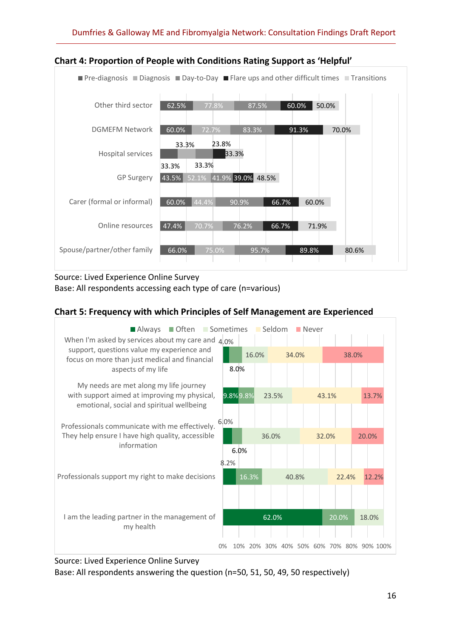

#### **Chart 4: Proportion of People with Conditions Rating Support as 'Helpful'**

Source: Lived Experience Online Survey Base: All respondents accessing each type of care (n=various)

#### **Chart 5: Frequency with which Principles of Self Management are Experienced**



Source: Lived Experience Online Survey

Base: All respondents answering the question (n=50, 51, 50, 49, 50 respectively)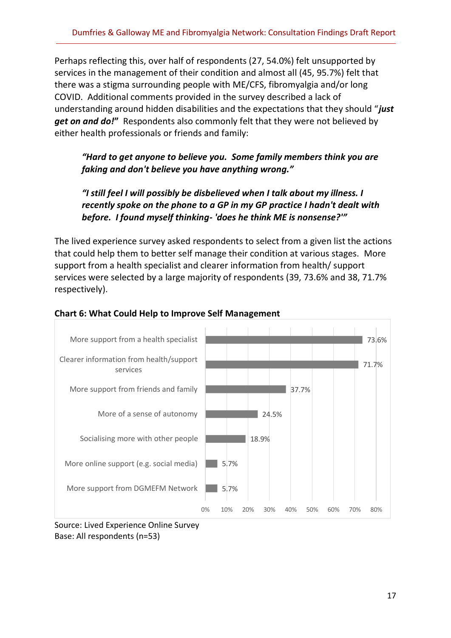Perhaps reflecting this, over half of respondents (27, 54.0%) felt unsupported by services in the management of their condition and almost all (45, 95.7%) felt that there was a stigma surrounding people with ME/CFS, fibromyalgia and/or long COVID. Additional comments provided in the survey described a lack of understanding around hidden disabilities and the expectations that they should "*just get on and do!***"** Respondents also commonly felt that they were not believed by either health professionals or friends and family:

#### *"Hard to get anyone to believe you. Some family members think you are faking and don't believe you have anything wrong."*

#### *"I still feel I will possibly be disbelieved when I talk about my illness. I recently spoke on the phone to a GP in my GP practice I hadn't dealt with before. I found myself thinking- 'does he think ME is nonsense?'"*

The lived experience survey asked respondents to select from a given list the actions that could help them to better self manage their condition at various stages. More support from a health specialist and clearer information from health/ support services were selected by a large majority of respondents (39, 73.6% and 38, 71.7% respectively).



#### **Chart 6: What Could Help to Improve Self Management**

Source: Lived Experience Online Survey Base: All respondents (n=53)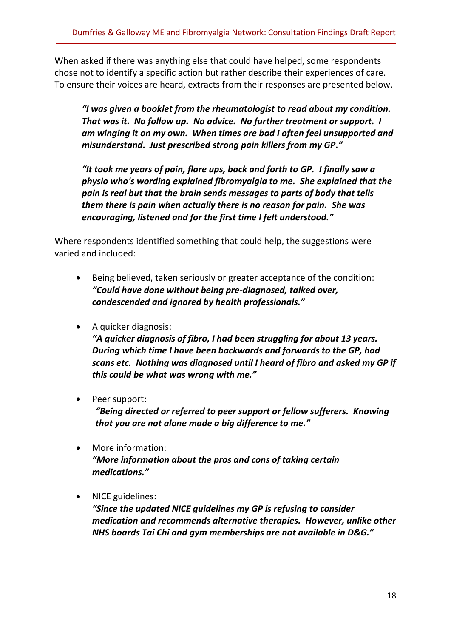When asked if there was anything else that could have helped, some respondents chose not to identify a specific action but rather describe their experiences of care. To ensure their voices are heard, extracts from their responses are presented below.

*"I was given a booklet from the rheumatologist to read about my condition. That was it. No follow up. No advice. No further treatment or support. I am winging it on my own. When times are bad I often feel unsupported and misunderstand. Just prescribed strong pain killers from my GP."* 

*"It took me years of pain, flare ups, back and forth to GP. I finally saw a physio who's wording explained fibromyalgia to me. She explained that the pain is real but that the brain sends messages to parts of body that tells them there is pain when actually there is no reason for pain. She was encouraging, listened and for the first time I felt understood."*

Where respondents identified something that could help, the suggestions were varied and included:

- Being believed, taken seriously or greater acceptance of the condition: *"Could have done without being pre-diagnosed, talked over, condescended and ignored by health professionals."*
- A quicker diagnosis:

*"A quicker diagnosis of fibro, I had been struggling for about 13 years. During which time I have been backwards and forwards to the GP, had scans etc. Nothing was diagnosed until I heard of fibro and asked my GP if this could be what was wrong with me."*

- Peer support: *"Being directed or referred to peer support or fellow sufferers. Knowing that you are not alone made a big difference to me."*
- More information: *"More information about the pros and cons of taking certain medications."*
- NICE guidelines:

*"Since the updated NICE guidelines my GP is refusing to consider medication and recommends alternative therapies. However, unlike other NHS boards Tai Chi and gym memberships are not available in D&G."*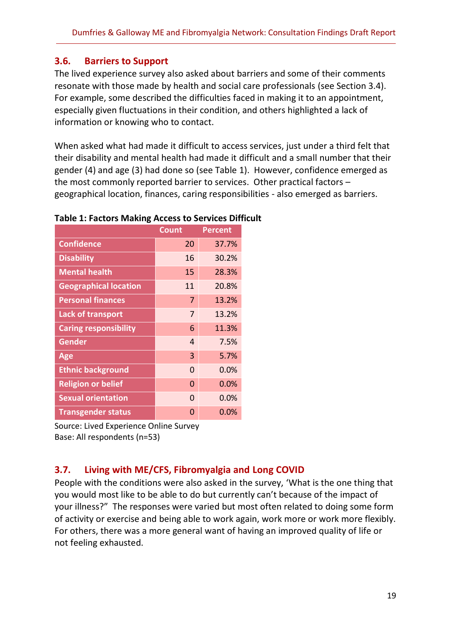#### <span id="page-24-0"></span>**3.6. Barriers to Support**

The lived experience survey also asked about barriers and some of their comments resonate with those made by health and social care professionals (see Section 3.4). For example, some described the difficulties faced in making it to an appointment, especially given fluctuations in their condition, and others highlighted a lack of information or knowing who to contact.

When asked what had made it difficult to access services, just under a third felt that their disability and mental health had made it difficult and a small number that their gender (4) and age (3) had done so (see Table 1). However, confidence emerged as the most commonly reported barrier to services. Other practical factors – geographical location, finances, caring responsibilities - also emerged as barriers.

|                              | <b>Count</b> | Percent |
|------------------------------|--------------|---------|
| <b>Confidence</b>            | 20           | 37.7%   |
| <b>Disability</b>            | 16           | 30.2%   |
| <b>Mental health</b>         | 15           | 28.3%   |
| <b>Geographical location</b> | 11           | 20.8%   |
| <b>Personal finances</b>     | 7            | 13.2%   |
| <b>Lack of transport</b>     | 7            | 13.2%   |
| <b>Caring responsibility</b> | 6            | 11.3%   |
| <b>Gender</b>                | 4            | 7.5%    |
| Age                          | 3            | 5.7%    |
| <b>Ethnic background</b>     | $\Omega$     | 0.0%    |
| <b>Religion or belief</b>    | $\Omega$     | 0.0%    |
| <b>Sexual orientation</b>    | 0            | $0.0\%$ |
| <b>Transgender status</b>    | 0            | $0.0\%$ |

**Table 1: Factors Making Access to Services Difficult**

Source: Lived Experience Online Survey Base: All respondents (n=53)

# <span id="page-24-1"></span>**3.7. Living with ME/CFS, Fibromyalgia and Long COVID**

People with the conditions were also asked in the survey, 'What is the one thing that you would most like to be able to do but currently can't because of the impact of your illness?" The responses were varied but most often related to doing some form of activity or exercise and being able to work again, work more or work more flexibly. For others, there was a more general want of having an improved quality of life or not feeling exhausted.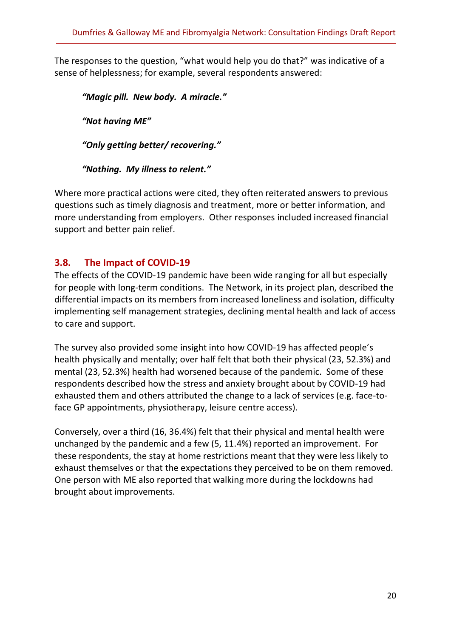The responses to the question, "what would help you do that?" was indicative of a sense of helplessness; for example, several respondents answered:

*"Magic pill. New body. A miracle." "Not having ME" "Only getting better/ recovering."*

*"Nothing. My illness to relent."*

Where more practical actions were cited, they often reiterated answers to previous questions such as timely diagnosis and treatment, more or better information, and more understanding from employers. Other responses included increased financial support and better pain relief.

#### <span id="page-25-0"></span>**3.8. The Impact of COVID-19**

The effects of the COVID-19 pandemic have been wide ranging for all but especially for people with long-term conditions. The Network, in its project plan, described the differential impacts on its members from increased loneliness and isolation, difficulty implementing self management strategies, declining mental health and lack of access to care and support.

The survey also provided some insight into how COVID-19 has affected people's health physically and mentally; over half felt that both their physical (23, 52.3%) and mental (23, 52.3%) health had worsened because of the pandemic. Some of these respondents described how the stress and anxiety brought about by COVID-19 had exhausted them and others attributed the change to a lack of services (e.g. face-toface GP appointments, physiotherapy, leisure centre access).

Conversely, over a third (16, 36.4%) felt that their physical and mental health were unchanged by the pandemic and a few (5, 11.4%) reported an improvement. For these respondents, the stay at home restrictions meant that they were less likely to exhaust themselves or that the expectations they perceived to be on them removed. One person with ME also reported that walking more during the lockdowns had brought about improvements.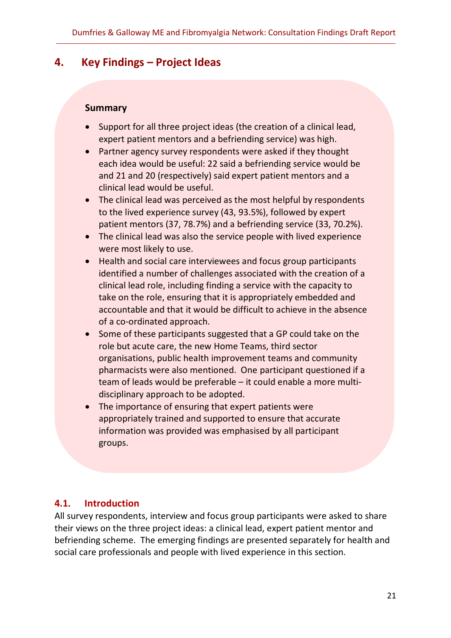# <span id="page-26-0"></span>**4. Key Findings – Project Ideas**

#### **Summary**

- Support for all three project ideas (the creation of a clinical lead, expert patient mentors and a befriending service) was high.
- Partner agency survey respondents were asked if they thought each idea would be useful: 22 said a befriending service would be and 21 and 20 (respectively) said expert patient mentors and a clinical lead would be useful.
- The clinical lead was perceived as the most helpful by respondents to the lived experience survey (43, 93.5%), followed by expert patient mentors (37, 78.7%) and a befriending service (33, 70.2%).
- The clinical lead was also the service people with lived experience were most likely to use.
- Health and social care interviewees and focus group participants identified a number of challenges associated with the creation of a clinical lead role, including finding a service with the capacity to take on the role, ensuring that it is appropriately embedded and accountable and that it would be difficult to achieve in the absence of a co-ordinated approach.
- Some of these participants suggested that a GP could take on the role but acute care, the new Home Teams, third sector organisations, public health improvement teams and community pharmacists were also mentioned. One participant questioned if a team of leads would be preferable – it could enable a more multidisciplinary approach to be adopted.
- The importance of ensuring that expert patients were appropriately trained and supported to ensure that accurate information was provided was emphasised by all participant groups.

# <span id="page-26-1"></span>**4.1. Introduction**

All survey respondents, interview and focus group participants were asked to share their views on the three project ideas: a clinical lead, expert patient mentor and befriending scheme. The emerging findings are presented separately for health and social care professionals and people with lived experience in this section.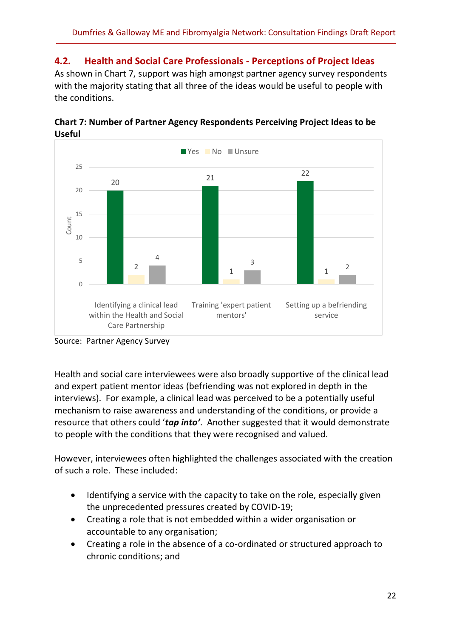#### <span id="page-27-0"></span>**4.2. Health and Social Care Professionals - Perceptions of Project Ideas**

As shown in Chart 7, support was high amongst partner agency survey respondents with the majority stating that all three of the ideas would be useful to people with the conditions.



**Chart 7: Number of Partner Agency Respondents Perceiving Project Ideas to be Useful**

Health and social care interviewees were also broadly supportive of the clinical lead and expert patient mentor ideas (befriending was not explored in depth in the interviews). For example, a clinical lead was perceived to be a potentially useful mechanism to raise awareness and understanding of the conditions, or provide a resource that others could '*tap into'*. Another suggested that it would demonstrate to people with the conditions that they were recognised and valued.

However, interviewees often highlighted the challenges associated with the creation of such a role. These included:

- Identifying a service with the capacity to take on the role, especially given the unprecedented pressures created by COVID-19;
- Creating a role that is not embedded within a wider organisation or accountable to any organisation;
- Creating a role in the absence of a co-ordinated or structured approach to chronic conditions; and

Source: Partner Agency Survey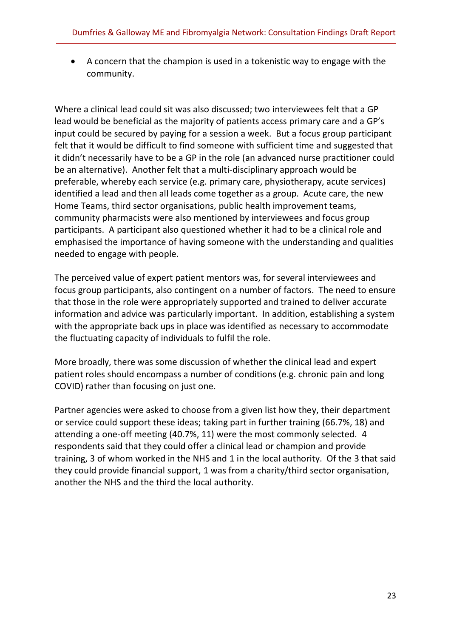• A concern that the champion is used in a tokenistic way to engage with the community.

Where a clinical lead could sit was also discussed; two interviewees felt that a GP lead would be beneficial as the majority of patients access primary care and a GP's input could be secured by paying for a session a week. But a focus group participant felt that it would be difficult to find someone with sufficient time and suggested that it didn't necessarily have to be a GP in the role (an advanced nurse practitioner could be an alternative). Another felt that a multi-disciplinary approach would be preferable, whereby each service (e.g. primary care, physiotherapy, acute services) identified a lead and then all leads come together as a group. Acute care, the new Home Teams, third sector organisations, public health improvement teams, community pharmacists were also mentioned by interviewees and focus group participants. A participant also questioned whether it had to be a clinical role and emphasised the importance of having someone with the understanding and qualities needed to engage with people.

The perceived value of expert patient mentors was, for several interviewees and focus group participants, also contingent on a number of factors. The need to ensure that those in the role were appropriately supported and trained to deliver accurate information and advice was particularly important. In addition, establishing a system with the appropriate back ups in place was identified as necessary to accommodate the fluctuating capacity of individuals to fulfil the role.

More broadly, there was some discussion of whether the clinical lead and expert patient roles should encompass a number of conditions (e.g. chronic pain and long COVID) rather than focusing on just one.

Partner agencies were asked to choose from a given list how they, their department or service could support these ideas; taking part in further training (66.7%, 18) and attending a one-off meeting (40.7%, 11) were the most commonly selected. 4 respondents said that they could offer a clinical lead or champion and provide training, 3 of whom worked in the NHS and 1 in the local authority. Of the 3 that said they could provide financial support, 1 was from a charity/third sector organisation, another the NHS and the third the local authority.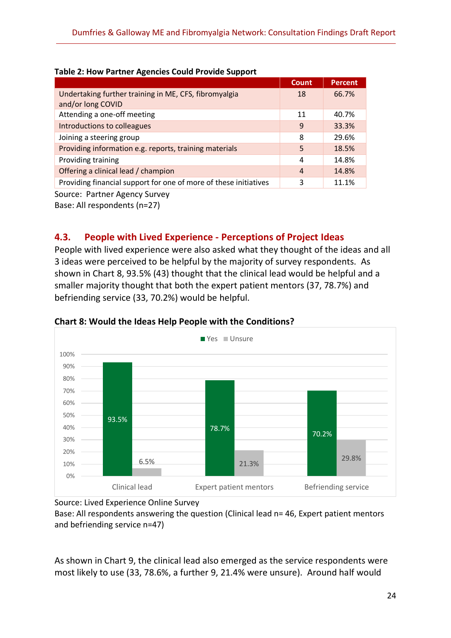|                                                                  | <b>Count</b> | <b>Percent</b> |  |  |  |  |
|------------------------------------------------------------------|--------------|----------------|--|--|--|--|
| Undertaking further training in ME, CFS, fibromyalgia            | 18           | 66.7%          |  |  |  |  |
| and/or long COVID                                                |              |                |  |  |  |  |
| Attending a one-off meeting                                      | 11           | 40.7%          |  |  |  |  |
| Introductions to colleagues                                      | 9            | 33.3%          |  |  |  |  |
| Joining a steering group                                         | 8            | 29.6%          |  |  |  |  |
| Providing information e.g. reports, training materials           | 5            | 18.5%          |  |  |  |  |
| Providing training                                               | 4            | 14.8%          |  |  |  |  |
| Offering a clinical lead / champion                              | 4            | 14.8%          |  |  |  |  |
| Providing financial support for one of more of these initiatives | 3            | 11.1%          |  |  |  |  |
|                                                                  |              |                |  |  |  |  |

#### **Table 2: How Partner Agencies Could Provide Support**

Source: Partner Agency Survey

Base: All respondents (n=27)

#### <span id="page-29-0"></span>**4.3. People with Lived Experience - Perceptions of Project Ideas**

People with lived experience were also asked what they thought of the ideas and all 3 ideas were perceived to be helpful by the majority of survey respondents. As shown in Chart 8, 93.5% (43) thought that the clinical lead would be helpful and a smaller majority thought that both the expert patient mentors (37, 78.7%) and befriending service (33, 70.2%) would be helpful.



#### **Chart 8: Would the Ideas Help People with the Conditions?**

Source: Lived Experience Online Survey

Base: All respondents answering the question (Clinical lead n= 46, Expert patient mentors and befriending service n=47)

As shown in Chart 9, the clinical lead also emerged as the service respondents were most likely to use (33, 78.6%, a further 9, 21.4% were unsure). Around half would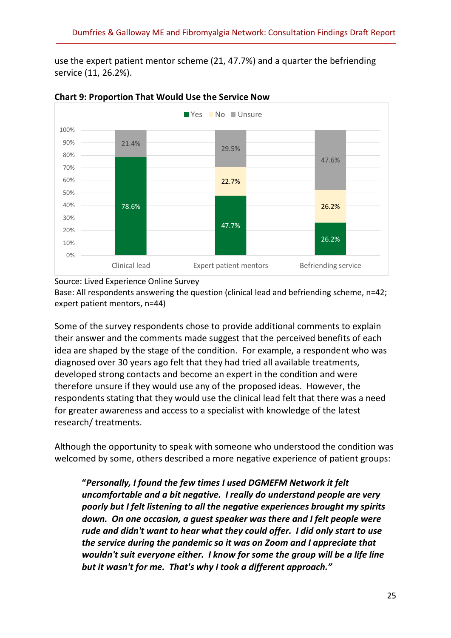use the expert patient mentor scheme (21, 47.7%) and a quarter the befriending service (11, 26.2%).



#### **Chart 9: Proportion That Would Use the Service Now**

Source: Lived Experience Online Survey

Base: All respondents answering the question (clinical lead and befriending scheme, n=42; expert patient mentors, n=44)

Some of the survey respondents chose to provide additional comments to explain their answer and the comments made suggest that the perceived benefits of each idea are shaped by the stage of the condition. For example, a respondent who was diagnosed over 30 years ago felt that they had tried all available treatments, developed strong contacts and become an expert in the condition and were therefore unsure if they would use any of the proposed ideas. However, the respondents stating that they would use the clinical lead felt that there was a need for greater awareness and access to a specialist with knowledge of the latest research/ treatments.

Although the opportunity to speak with someone who understood the condition was welcomed by some, others described a more negative experience of patient groups:

**"***Personally, I found the few times I used DGMEFM Network it felt uncomfortable and a bit negative. I really do understand people are very poorly but I felt listening to all the negative experiences brought my spirits down. On one occasion, a guest speaker was there and I felt people were rude and didn't want to hear what they could offer. I did only start to use the service during the pandemic so it was on Zoom and I appreciate that wouldn't suit everyone either. I know for some the group will be a life line but it wasn't for me. That's why I took a different approach."*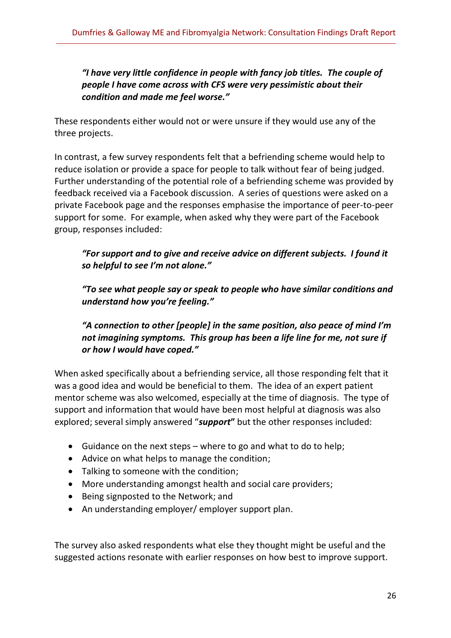*"I have very little confidence in people with fancy job titles. The couple of people I have come across with CFS were very pessimistic about their condition and made me feel worse."*

These respondents either would not or were unsure if they would use any of the three projects.

In contrast, a few survey respondents felt that a befriending scheme would help to reduce isolation or provide a space for people to talk without fear of being judged. Further understanding of the potential role of a befriending scheme was provided by feedback received via a Facebook discussion. A series of questions were asked on a private Facebook page and the responses emphasise the importance of peer-to-peer support for some. For example, when asked why they were part of the Facebook group, responses included:

*"For support and to give and receive advice on different subjects. I found it so helpful to see I'm not alone."*

*"To see what people say or speak to people who have similar conditions and understand how you're feeling."*

*"A connection to other [people] in the same position, also peace of mind I'm not imagining symptoms. This group has been a life line for me, not sure if or how I would have coped."*

When asked specifically about a befriending service, all those responding felt that it was a good idea and would be beneficial to them. The idea of an expert patient mentor scheme was also welcomed, especially at the time of diagnosis. The type of support and information that would have been most helpful at diagnosis was also explored; several simply answered "*support***"** but the other responses included:

- Guidance on the next steps where to go and what to do to help;
- Advice on what helps to manage the condition;
- Talking to someone with the condition;
- More understanding amongst health and social care providers;
- Being signposted to the Network; and
- An understanding employer/ employer support plan.

The survey also asked respondents what else they thought might be useful and the suggested actions resonate with earlier responses on how best to improve support.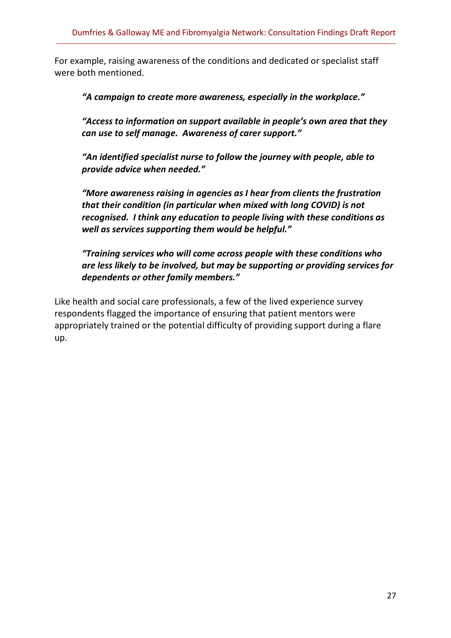For example, raising awareness of the conditions and dedicated or specialist staff were both mentioned.

*"A campaign to create more awareness, especially in the workplace."*

*"Access to information on support available in people's own area that they can use to self manage. Awareness of carer support."*

*"An identified specialist nurse to follow the journey with people, able to provide advice when needed."*

*"More awareness raising in agencies as I hear from clients the frustration that their condition (in particular when mixed with long COVID) is not recognised. I think any education to people living with these conditions as well as services supporting them would be helpful."*

*"Training services who will come across people with these conditions who are less likely to be involved, but may be supporting or providing services for dependents or other family members."*

Like health and social care professionals, a few of the lived experience survey respondents flagged the importance of ensuring that patient mentors were appropriately trained or the potential difficulty of providing support during a flare up.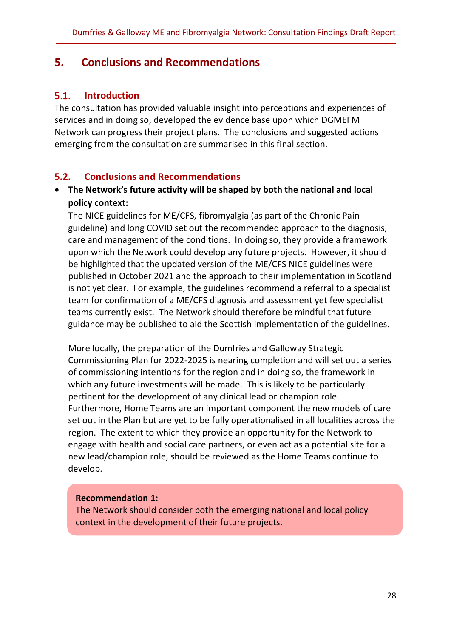# <span id="page-33-0"></span>**5. Conclusions and Recommendations**

#### <span id="page-33-1"></span>5.1. **Introduction**

The consultation has provided valuable insight into perceptions and experiences of services and in doing so, developed the evidence base upon which DGMEFM Network can progress their project plans. The conclusions and suggested actions emerging from the consultation are summarised in this final section.

#### <span id="page-33-2"></span>**5.2. Conclusions and Recommendations**

#### • **The Network's future activity will be shaped by both the national and local policy context:**

The NICE guidelines for ME/CFS, fibromyalgia (as part of the Chronic Pain guideline) and long COVID set out the recommended approach to the diagnosis, care and management of the conditions. In doing so, they provide a framework upon which the Network could develop any future projects. However, it should be highlighted that the updated version of the ME/CFS NICE guidelines were published in October 2021 and the approach to their implementation in Scotland is not yet clear. For example, the guidelines recommend a referral to a specialist team for confirmation of a ME/CFS diagnosis and assessment yet few specialist teams currently exist. The Network should therefore be mindful that future guidance may be published to aid the Scottish implementation of the guidelines.

More locally, the preparation of the Dumfries and Galloway Strategic Commissioning Plan for 2022-2025 is nearing completion and will set out a series of commissioning intentions for the region and in doing so, the framework in which any future investments will be made. This is likely to be particularly pertinent for the development of any clinical lead or champion role. Furthermore, Home Teams are an important component the new models of care set out in the Plan but are yet to be fully operationalised in all localities across the region. The extent to which they provide an opportunity for the Network to engage with health and social care partners, or even act as a potential site for a new lead/champion role, should be reviewed as the Home Teams continue to develop.

#### **Recommendation 1:**

The Network should consider both the emerging national and local policy context in the development of their future projects.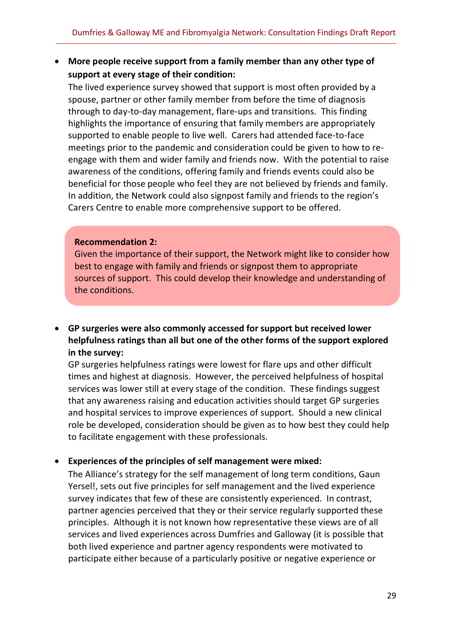• **More people receive support from a family member than any other type of support at every stage of their condition:**

The lived experience survey showed that support is most often provided by a spouse, partner or other family member from before the time of diagnosis through to day-to-day management, flare-ups and transitions. This finding highlights the importance of ensuring that family members are appropriately supported to enable people to live well. Carers had attended face-to-face meetings prior to the pandemic and consideration could be given to how to reengage with them and wider family and friends now. With the potential to raise awareness of the conditions, offering family and friends events could also be beneficial for those people who feel they are not believed by friends and family. In addition, the Network could also signpost family and friends to the region's Carers Centre to enable more comprehensive support to be offered.

#### **Recommendation 2:**

Given the importance of their support, the Network might like to consider how best to engage with family and friends or signpost them to appropriate sources of support. This could develop their knowledge and understanding of the conditions.

• **GP surgeries were also commonly accessed for support but received lower helpfulness ratings than all but one of the other forms of the support explored in the survey:**

GP surgeries helpfulness ratings were lowest for flare ups and other difficult times and highest at diagnosis. However, the perceived helpfulness of hospital services was lower still at every stage of the condition. These findings suggest that any awareness raising and education activities should target GP surgeries and hospital services to improve experiences of support. Should a new clinical role be developed, consideration should be given as to how best they could help to facilitate engagement with these professionals.

#### • **Experiences of the principles of self management were mixed:**

The Alliance's strategy for the self management of long term conditions, Gaun Yersel!, sets out five principles for self management and the lived experience survey indicates that few of these are consistently experienced. In contrast, partner agencies perceived that they or their service regularly supported these principles. Although it is not known how representative these views are of all services and lived experiences across Dumfries and Galloway (it is possible that both lived experience and partner agency respondents were motivated to participate either because of a particularly positive or negative experience or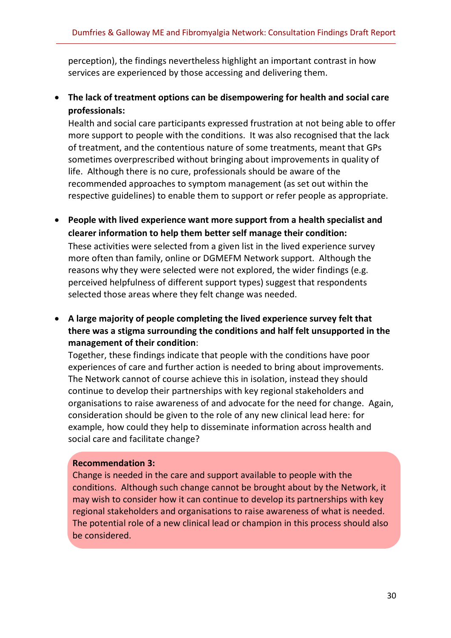perception), the findings nevertheless highlight an important contrast in how services are experienced by those accessing and delivering them.

### • **The lack of treatment options can be disempowering for health and social care professionals:**

Health and social care participants expressed frustration at not being able to offer more support to people with the conditions. It was also recognised that the lack of treatment, and the contentious nature of some treatments, meant that GPs sometimes overprescribed without bringing about improvements in quality of life. Although there is no cure, professionals should be aware of the recommended approaches to symptom management (as set out within the respective guidelines) to enable them to support or refer people as appropriate.

• **People with lived experience want more support from a health specialist and clearer information to help them better self manage their condition:** These activities were selected from a given list in the lived experience survey more often than family, online or DGMEFM Network support. Although the reasons why they were selected were not explored, the wider findings (e.g.

perceived helpfulness of different support types) suggest that respondents selected those areas where they felt change was needed.

• **A large majority of people completing the lived experience survey felt that there was a stigma surrounding the conditions and half felt unsupported in the management of their condition**:

Together, these findings indicate that people with the conditions have poor experiences of care and further action is needed to bring about improvements. The Network cannot of course achieve this in isolation, instead they should continue to develop their partnerships with key regional stakeholders and organisations to raise awareness of and advocate for the need for change. Again, consideration should be given to the role of any new clinical lead here: for example, how could they help to disseminate information across health and social care and facilitate change?

#### **Recommendation 3:**

Change is needed in the care and support available to people with the conditions. Although such change cannot be brought about by the Network, it may wish to consider how it can continue to develop its partnerships with key regional stakeholders and organisations to raise awareness of what is needed. The potential role of a new clinical lead or champion in this process should also be considered.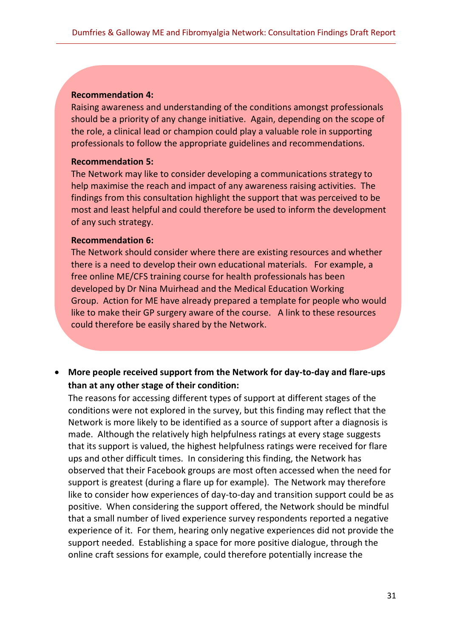#### **Recommendation 4:**

Raising awareness and understanding of the conditions amongst professionals should be a priority of any change initiative. Again, depending on the scope of the role, a clinical lead or champion could play a valuable role in supporting professionals to follow the appropriate guidelines and recommendations.

#### **Recommendation 5:**

The Network may like to consider developing a communications strategy to help maximise the reach and impact of any awareness raising activities. The findings from this consultation highlight the support that was perceived to be most and least helpful and could therefore be used to inform the development of any such strategy.

#### **Recommendation 6:**

The Network should consider where there are existing resources and whether there is a need to develop their own educational materials. For example, a free online ME/CFS training course for health professionals has been developed by Dr Nina Muirhead and the Medical Education Working Group. Action for ME have already prepared a template for people who would like to make their GP surgery aware of the course. A link to these resources could therefore be easily shared by the Network.

• **More people received support from the Network for day-to-day and flare-ups than at any other stage of their condition:**

The reasons for accessing different types of support at different stages of the conditions were not explored in the survey, but this finding may reflect that the Network is more likely to be identified as a source of support after a diagnosis is made. Although the relatively high helpfulness ratings at every stage suggests that its support is valued, the highest helpfulness ratings were received for flare ups and other difficult times. In considering this finding, the Network has observed that their Facebook groups are most often accessed when the need for support is greatest (during a flare up for example). The Network may therefore like to consider how experiences of day-to-day and transition support could be as positive. When considering the support offered, the Network should be mindful that a small number of lived experience survey respondents reported a negative experience of it. For them, hearing only negative experiences did not provide the support needed. Establishing a space for more positive dialogue, through the online craft sessions for example, could therefore potentially increase the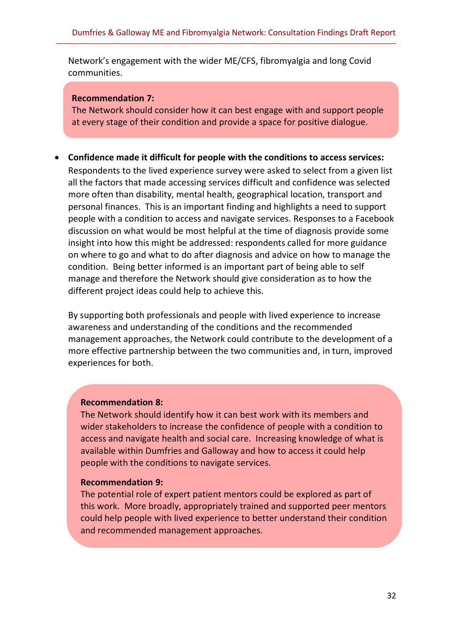Network's engagement with the wider ME/CFS, fibromyalgia and long Covid communities.

#### **Recommendation 7:**

The Network should consider how it can best engage with and support people at every stage of their condition and provide a space for positive dialogue.

• **Confidence made it difficult for people with the conditions to access services:** Respondents to the lived experience survey were asked to select from a given list all the factors that made accessing services difficult and confidence was selected more often than disability, mental health, geographical location, transport and personal finances. This is an important finding and highlights a need to support people with a condition to access and navigate services. Responses to a Facebook discussion on what would be most helpful at the time of diagnosis provide some insight into how this might be addressed: respondents called for more guidance on where to go and what to do after diagnosis and advice on how to manage the condition. Being better informed is an important part of being able to self manage and therefore the Network should give consideration as to how the different project ideas could help to achieve this.

By supporting both professionals and people with lived experience to increase awareness and understanding of the conditions and the recommended management approaches, the Network could contribute to the development of a more effective partnership between the two communities and, in turn, improved experiences for both.

#### **Recommendation 8:**

The Network should identify how it can best work with its members and wider stakeholders to increase the confidence of people with a condition to access and navigate health and social care. Increasing knowledge of what is available within Dumfries and Galloway and how to access it could help people with the conditions to navigate services.

#### **Recommendation 9:**

The potential role of expert patient mentors could be explored as part of this work. More broadly, appropriately trained and supported peer mentors could help people with lived experience to better understand their condition and recommended management approaches.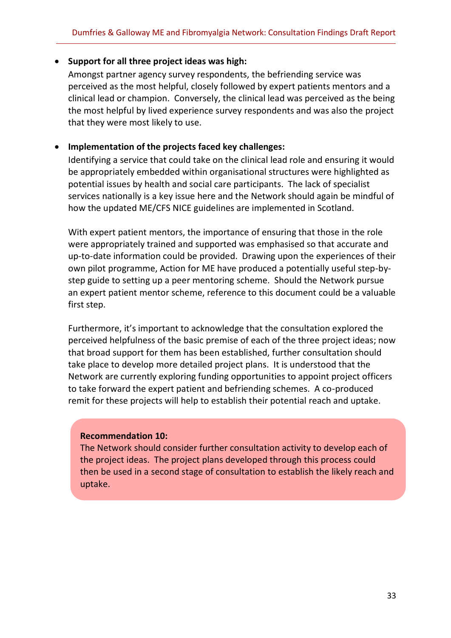#### • **Support for all three project ideas was high:**

Amongst partner agency survey respondents, the befriending service was perceived as the most helpful, closely followed by expert patients mentors and a clinical lead or champion. Conversely, the clinical lead was perceived as the being the most helpful by lived experience survey respondents and was also the project that they were most likely to use.

#### • **Implementation of the projects faced key challenges:**

Identifying a service that could take on the clinical lead role and ensuring it would be appropriately embedded within organisational structures were highlighted as potential issues by health and social care participants. The lack of specialist services nationally is a key issue here and the Network should again be mindful of how the updated ME/CFS NICE guidelines are implemented in Scotland.

With expert patient mentors, the importance of ensuring that those in the role were appropriately trained and supported was emphasised so that accurate and up-to-date information could be provided. Drawing upon the experiences of their own pilot programme, Action for ME have produced a potentially useful step-bystep guide to setting up a peer mentoring scheme. Should the Network pursue an expert patient mentor scheme, reference to this document could be a valuable first step.

Furthermore, it's important to acknowledge that the consultation explored the perceived helpfulness of the basic premise of each of the three project ideas; now that broad support for them has been established, further consultation should take place to develop more detailed project plans. It is understood that the Network are currently exploring funding opportunities to appoint project officers to take forward the expert patient and befriending schemes. A co-produced remit for these projects will help to establish their potential reach and uptake.

#### **Recommendation 10:**

The Network should consider further consultation activity to develop each of the project ideas. The project plans developed through this process could then be used in a second stage of consultation to establish the likely reach and uptake.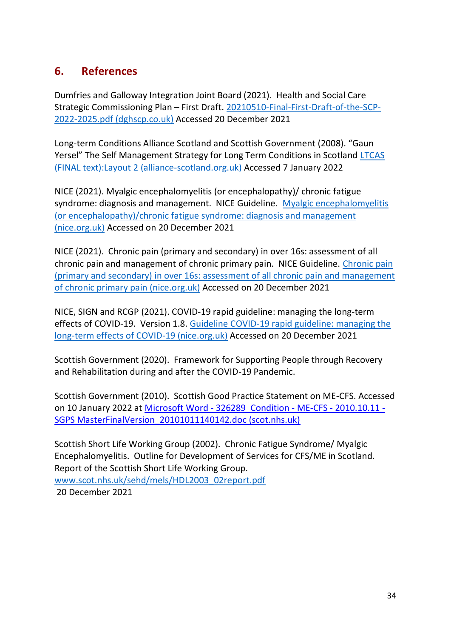# <span id="page-39-0"></span>**6. References**

Dumfries and Galloway Integration Joint Board (2021). Health and Social Care Strategic Commissioning Plan – First Draft. [20210510-Final-First-Draft-of-the-SCP-](https://dghscp.co.uk/wp-content/uploads/2021/05/20210510-Final-First-Draft-of-the-SCP-2022-2025.pdf)[2022-2025.pdf \(dghscp.co.uk\)](https://dghscp.co.uk/wp-content/uploads/2021/05/20210510-Final-First-Draft-of-the-SCP-2022-2025.pdf) Accessed 20 December 2021

Long-term Conditions Alliance Scotland and Scottish Government (2008). "Gaun Yersel" The Self Management Strategy for Long Term Conditions in Scotland [LTCAS](https://www.alliance-scotland.org.uk/wp-content/uploads/2017/11/ALLIANCE-SM-Gaun-Yersel-Strategy-2008.pdf)  [\(FINAL text\):Layout 2 \(alliance-scotland.org.uk\)](https://www.alliance-scotland.org.uk/wp-content/uploads/2017/11/ALLIANCE-SM-Gaun-Yersel-Strategy-2008.pdf) Accessed 7 January 2022

NICE (2021). Myalgic encephalomyelitis (or encephalopathy)/ chronic fatigue syndrome: diagnosis and management. NICE Guideline. [Myalgic encephalomyelitis](https://www.nice.org.uk/guidance/ng206/resources/myalgic-encephalomyelitis-or-encephalopathychronic-fatigue-syndrome-diagnosis-and-management-pdf-66143718094021)  [\(or encephalopathy\)/chronic fatigue syndrome: diagnosis and management](https://www.nice.org.uk/guidance/ng206/resources/myalgic-encephalomyelitis-or-encephalopathychronic-fatigue-syndrome-diagnosis-and-management-pdf-66143718094021)  [\(nice.org.uk\)](https://www.nice.org.uk/guidance/ng206/resources/myalgic-encephalomyelitis-or-encephalopathychronic-fatigue-syndrome-diagnosis-and-management-pdf-66143718094021) Accessed on 20 December 2021

NICE (2021). Chronic pain (primary and secondary) in over 16s: assessment of all chronic pain and management of chronic primary pain. NICE Guideline. [Chronic pain](https://www.nice.org.uk/guidance/ng193/resources/chronic-pain-primary-and-secondary-in-over-16s-assessment-of-all-chronic-pain-and-management-of-chronic-primary-pain-pdf-66142080468421)  [\(primary and secondary\) in over 16s: assessment of all chronic pain and management](https://www.nice.org.uk/guidance/ng193/resources/chronic-pain-primary-and-secondary-in-over-16s-assessment-of-all-chronic-pain-and-management-of-chronic-primary-pain-pdf-66142080468421)  [of chronic primary pain \(nice.org.uk\)](https://www.nice.org.uk/guidance/ng193/resources/chronic-pain-primary-and-secondary-in-over-16s-assessment-of-all-chronic-pain-and-management-of-chronic-primary-pain-pdf-66142080468421) Accessed on 20 December 2021

NICE, SIGN and RCGP (2021). COVID-19 rapid guideline: managing the long-term effects of COVID-19. Version 1.8. [Guideline COVID-19 rapid guideline: managing the](https://www.nice.org.uk/guidance/ng188/resources/covid19-rapid-guideline-managing-the-longterm-effects-of-covid19-pdf-51035515742)  [long-term effects of COVID-19 \(nice.org.uk\)](https://www.nice.org.uk/guidance/ng188/resources/covid19-rapid-guideline-managing-the-longterm-effects-of-covid19-pdf-51035515742) Accessed on 20 December 2021

Scottish Government (2020). Framework for Supporting People through Recovery and Rehabilitation during and after the COVID-19 Pandemic.

Scottish Government (2010). Scottish Good Practice Statement on ME-CFS. Accessed on 10 January 2022 at Microsoft Word - [326289\\_Condition -](https://www.scot.nhs.uk/wp-content/uploads/2015/06/GoodPracticeStatement.pdf) ME-CFS - 2010.10.11 - SGPS MasterFinalVersion 20101011140142.doc (scot.nhs.uk)

Scottish Short Life Working Group (2002). Chronic Fatigue Syndrome/ Myalgic Encephalomyelitis. Outline for Development of Services for CFS/ME in Scotland. Report of the Scottish Short Life Working Group. [www.scot.nhs.uk/sehd/mels/HDL2003\\_02report.pdf](http://www.scot.nhs.uk/sehd/mels/HDL2003_02report.pdf) 20 December 2021